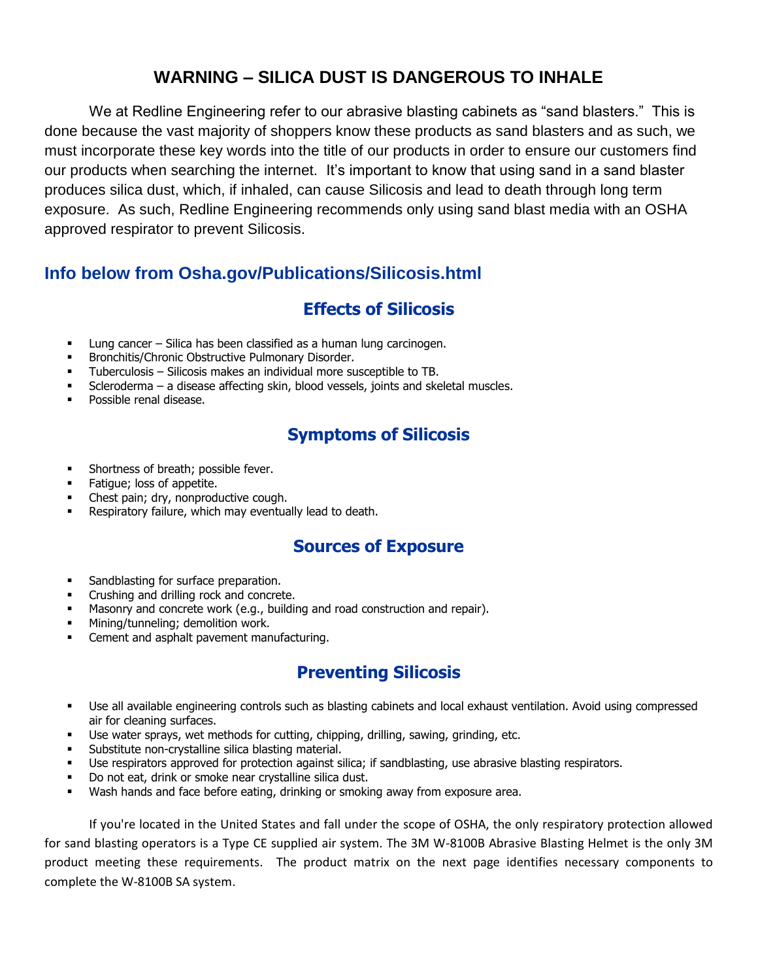# **WARNING – SILICA DUST IS DANGEROUS TO INHALE**

We at Redline Engineering refer to our abrasive blasting cabinets as "sand blasters." This is done because the vast majority of shoppers know these products as sand blasters and as such, we must incorporate these key words into the title of our products in order to ensure our customers find our products when searching the internet. It's important to know that using sand in a sand blaster produces silica dust, which, if inhaled, can cause Silicosis and lead to death through long term exposure. As such, Redline Engineering recommends only using sand blast media with an OSHA approved respirator to prevent Silicosis.

## **Info below from Osha.gov/Publications/Silicosis.html**

## **Effects of Silicosis**

- Lung cancer Silica has been classified as a human lung carcinogen.
- Bronchitis/Chronic Obstructive Pulmonary Disorder.
- Tuberculosis Silicosis makes an individual more susceptible to TB.
- Scleroderma a disease affecting skin, blood vessels, joints and skeletal muscles.
- Possible renal disease.

# **Symptoms of Silicosis**

- Shortness of breath; possible fever.
- Fatigue; loss of appetite.
- Chest pain; dry, nonproductive cough.
- Respiratory failure, which may eventually lead to death.

#### **Sources of Exposure**

- Sandblasting for surface preparation.
- Crushing and drilling rock and concrete.
- Masonry and concrete work (e.g., building and road construction and repair).
- Mining/tunneling; demolition work.
- Cement and asphalt pavement manufacturing.

#### **Preventing Silicosis**

- Use all available engineering controls such as blasting cabinets and local exhaust ventilation. Avoid using compressed air for cleaning surfaces.
- Use water sprays, wet methods for cutting, chipping, drilling, sawing, grinding, etc.
- Substitute non-crystalline silica blasting material.
- Use respirators approved for protection against silica; if sandblasting, use abrasive blasting respirators.
- Do not eat, drink or smoke near crystalline silica dust.
- Wash hands and face before eating, drinking or smoking away from exposure area.

If you're located in the United States and fall under the scope of OSHA, the only respiratory protection allowed for sand blasting operators is a Type CE supplied air system. The 3M W-8100B Abrasive Blasting Helmet is the only 3M product meeting these requirements. The product matrix on the next page identifies necessary components to complete the W-8100B SA system.